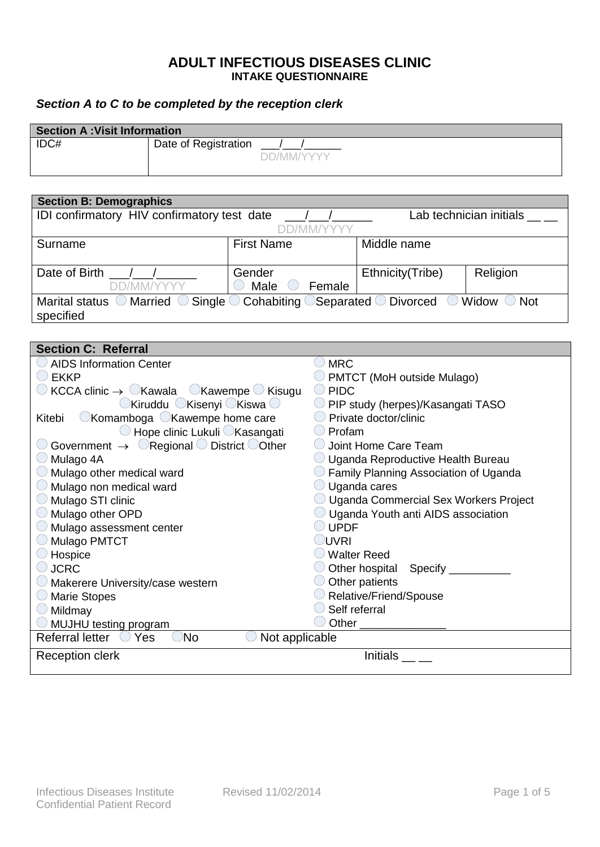## **ADULT INFECTIOUS DISEASES CLINIC INTAKE QUESTIONNAIRE**

## *Section A to C to be completed by the reception clerk*

| <b>Section A: Visit Information</b> |                      |            |  |  |
|-------------------------------------|----------------------|------------|--|--|
| IDC#                                | Date of Registration | DD/MM/YYYY |  |  |
|                                     |                      |            |  |  |

| <b>Section B: Demographics</b>                                                                                                                                  |                   |                  |          |  |  |  |
|-----------------------------------------------------------------------------------------------------------------------------------------------------------------|-------------------|------------------|----------|--|--|--|
| Lab technician initials<br>IDI confirmatory HIV confirmatory test date                                                                                          |                   |                  |          |  |  |  |
|                                                                                                                                                                 | DD/MM/YYYY        |                  |          |  |  |  |
| Surname                                                                                                                                                         | <b>First Name</b> | Middle name      |          |  |  |  |
|                                                                                                                                                                 |                   |                  |          |  |  |  |
| Date of Birth                                                                                                                                                   | Gender            | Ethnicity(Tribe) | Religion |  |  |  |
| DD/MM/YYYY                                                                                                                                                      | Male<br>Female    |                  |          |  |  |  |
| Marital status $\bigcirc$ Married $\bigcirc$ Single $\bigcirc$ Cohabiting $\bigcirc$ Separated $\bigcirc$ Divorced $\bigcirc$ Widow $\bigcirc$ Not<br>specified |                   |                  |          |  |  |  |

| <b>Section C: Referral</b>                                                                   |                                                           |
|----------------------------------------------------------------------------------------------|-----------------------------------------------------------|
| <b>AIDS Information Center</b>                                                               | <b>MRC</b>                                                |
| $\bigcirc$ ekkp                                                                              | $\cup$ PMTCT (MoH outside Mulago)                         |
| $KCCA$ clinic $\rightarrow \bigcirc$ Kawala $\bigcirc$ Kawempe $\bigcirc$ Kisugu             | <b>PIDC</b><br>$($ )                                      |
| $\bigcirc$ Kiruddu $\bigcirc$ Kisenyi $\bigcirc$ Kiswa $\bigcirc$                            | PIP study (herpes)/Kasangati TASO                         |
| $\bigcirc$ Komamboga $\bigcirc$ Kawempe home care<br>Kitebi                                  | Private doctor/clinic                                     |
| $\bigcirc$ Hope clinic Lukuli $\bigcirc$ Kasangati                                           | Profam                                                    |
| $\bigcirc$ Government $\rightarrow$ $\bigcirc$ Regional $\bigcirc$ District $\bigcirc$ Other | Joint Home Care Team                                      |
| Mulago 4A                                                                                    | Uganda Reproductive Health Bureau                         |
| $\bigcirc$ Mulago other medical ward                                                         | $\cup$ Family Planning Association of Uganda              |
| $\circlearrowright$ Mulago non medical ward                                                  | Uganda cares                                              |
| $\bigcirc$ Mulago STI clinic                                                                 | $\circlearrowright$ Uganda Commercial Sex Workers Project |
| $\bigcirc$ Mulago other OPD                                                                  | $\cup$ Uganda Youth anti AIDS association                 |
| $\bigcirc$ Mulago assessment center                                                          | <b>UPDF</b>                                               |
| <b>Mulago PMTCT</b>                                                                          | <b>JUVRI</b>                                              |
| Hospice                                                                                      | <b>Walter Reed</b>                                        |
| $\bigcirc$ JCRC                                                                              | Other hospital Specify __                                 |
| $\bigcirc$ Makerere University/case western                                                  | Other patients                                            |
| $\bigcirc$ Marie Stopes                                                                      | Relative/Friend/Spouse                                    |
| $\bigcirc$ Mildmay                                                                           | Self referral                                             |
| $\bigcirc$ MUJHU testing program                                                             |                                                           |
| <b>Referral letter</b><br><sup>)</sup> No<br>Not applicable<br>Yes                           |                                                           |
| <b>Reception clerk</b>                                                                       | Initials                                                  |
|                                                                                              |                                                           |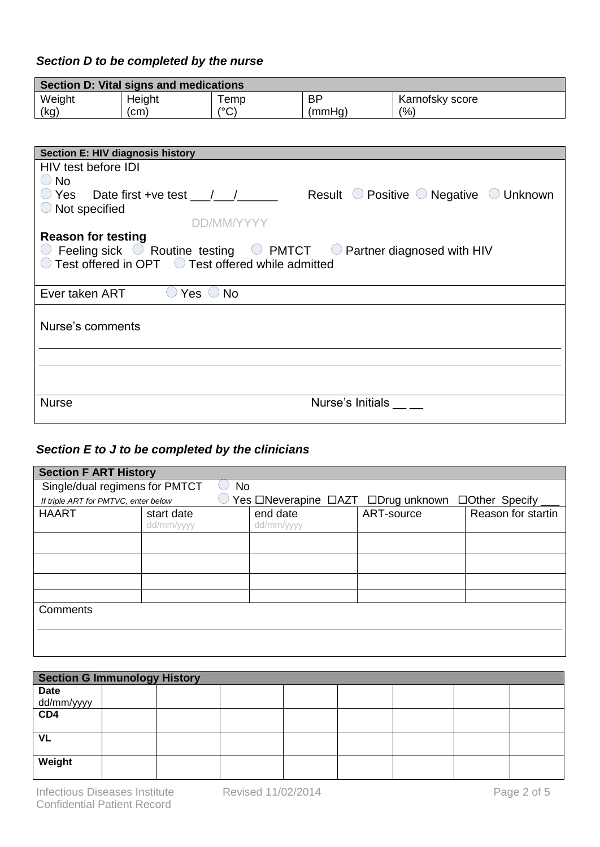## *Section D to be completed by the nurse*

|                                                                                                                                                                                                                                                     | Section D: Vital signs and medications |               |                  |                                                                                                                                                       |  |  |  |
|-----------------------------------------------------------------------------------------------------------------------------------------------------------------------------------------------------------------------------------------------------|----------------------------------------|---------------|------------------|-------------------------------------------------------------------------------------------------------------------------------------------------------|--|--|--|
| Weight                                                                                                                                                                                                                                              | Height                                 | Temp          | <b>BP</b>        | Karnofsky score                                                                                                                                       |  |  |  |
| (kg)                                                                                                                                                                                                                                                | (cm)                                   | $(^{\circ}C)$ | (mmHg)           | (% )                                                                                                                                                  |  |  |  |
|                                                                                                                                                                                                                                                     |                                        |               |                  |                                                                                                                                                       |  |  |  |
| <b>Section E: HIV diagnosis history</b>                                                                                                                                                                                                             |                                        |               |                  |                                                                                                                                                       |  |  |  |
| HIV test before IDI<br>$\bigcirc$ No                                                                                                                                                                                                                |                                        |               |                  |                                                                                                                                                       |  |  |  |
| $\bigcirc$ Not specified                                                                                                                                                                                                                            |                                        |               |                  | $\circlearrowright$ Yes Date first +ve test __/__/______ Result $\circlearrowright$ Positive $\circlearrowright$ Negative $\circlearrowright$ Unknown |  |  |  |
|                                                                                                                                                                                                                                                     |                                        | DD/MM/YYYY    |                  |                                                                                                                                                       |  |  |  |
| <b>Reason for testing</b><br>$\circlearrowright$ Feeling sick $\circlearrowright$ Routine testing $\circlearrowright$ PMTCT $\circlearrowright$ Partner diagnosed with HIV<br>$\bigcirc$ Test offered in OPT $\bigcirc$ Test offered while admitted |                                        |               |                  |                                                                                                                                                       |  |  |  |
| Ever taken ART                                                                                                                                                                                                                                      | Yes $\bigcirc$ No                      |               |                  |                                                                                                                                                       |  |  |  |
| Nurse's comments                                                                                                                                                                                                                                    |                                        |               |                  |                                                                                                                                                       |  |  |  |
|                                                                                                                                                                                                                                                     |                                        |               |                  |                                                                                                                                                       |  |  |  |
|                                                                                                                                                                                                                                                     |                                        |               |                  |                                                                                                                                                       |  |  |  |
| <b>Nurse</b>                                                                                                                                                                                                                                        |                                        |               | Nurse's Initials |                                                                                                                                                       |  |  |  |

## *Section E to J to be completed by the clinicians*

| <b>Section F ART History</b>   |                                      |           |                                                   |            |                    |
|--------------------------------|--------------------------------------|-----------|---------------------------------------------------|------------|--------------------|
| Single/dual regimens for PMTCT |                                      | <b>No</b> |                                                   |            |                    |
|                                | If triple ART for PMTVC, enter below |           | Yes □Neverapine □AZT □Drug unknown □Other Specify |            |                    |
| <b>HAART</b>                   | start date<br>dd/mm/yyyy             |           | end date<br>dd/mm/yyyy                            | ART-source | Reason for startin |
|                                |                                      |           |                                                   |            |                    |
|                                |                                      |           |                                                   |            |                    |
|                                |                                      |           |                                                   |            |                    |
|                                |                                      |           |                                                   |            |                    |
| Comments                       |                                      |           |                                                   |            |                    |
|                                |                                      |           |                                                   |            |                    |

| <b>Section G Immunology History</b> |  |  |  |  |  |  |  |
|-------------------------------------|--|--|--|--|--|--|--|
| <b>Date</b>                         |  |  |  |  |  |  |  |
| dd/mm/yyyy                          |  |  |  |  |  |  |  |
| CD4                                 |  |  |  |  |  |  |  |
|                                     |  |  |  |  |  |  |  |
| <b>VL</b>                           |  |  |  |  |  |  |  |
|                                     |  |  |  |  |  |  |  |
| Weight                              |  |  |  |  |  |  |  |
|                                     |  |  |  |  |  |  |  |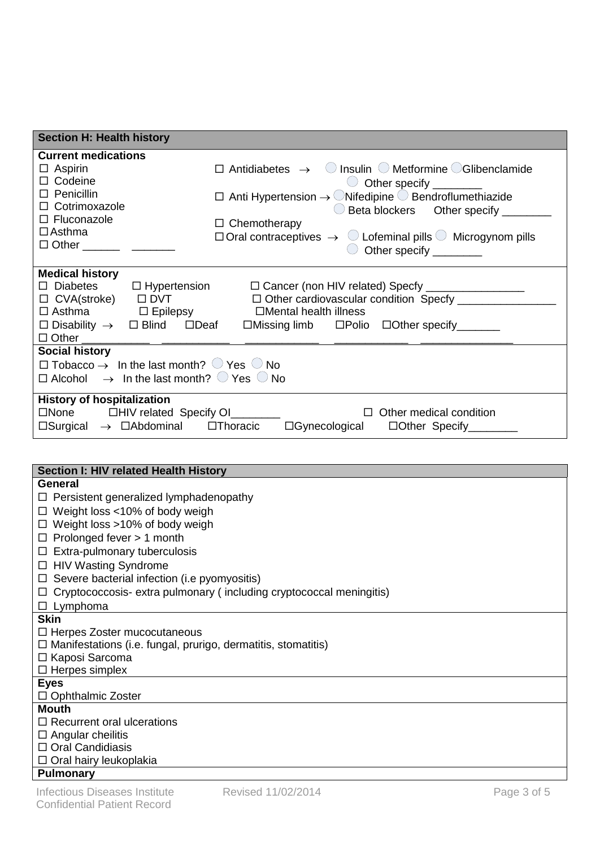| <b>Section H: Health history</b>                                                                                                                                                                                                                                                                                                                                                                                                                                                                                                                                                                                                                                |
|-----------------------------------------------------------------------------------------------------------------------------------------------------------------------------------------------------------------------------------------------------------------------------------------------------------------------------------------------------------------------------------------------------------------------------------------------------------------------------------------------------------------------------------------------------------------------------------------------------------------------------------------------------------------|
| <b>Current medications</b><br>$\Box$ Antidiabetes $\rightarrow$ O Insulin O Metformine OGlibenclamide<br>$\Box$ Aspirin<br>□ Codeine<br>$\bigcirc$ Other specify _________<br>$\Box$ Penicillin<br>$\Box$ Anti Hypertension $\rightarrow$ ONifedipine $\bigcirc$ Bendroflumethiazide<br>□ Cotrimoxazole<br>$\bigcirc$ Beta blockers $\bigcirc$ Other specify _______<br>□ Fluconazole<br>$\Box$ Chemotherapy<br>$\Box$ Asthma<br>$\Box$ Oral contraceptives $\rightarrow$ $\bigcirc$ Lofeminal pills $\bigcirc$ Microgynom pills<br>$\Box$ Other and $\Box$ Other<br>Other specify _________                                                                    |
| <b>Medical history</b><br>$\Box$ Diabetes<br>$\Box$ Hypertension<br>□ Cancer (non HIV related) Specfy __________________<br>□ CVA(stroke) □ DVT<br>□ Other cardiovascular condition Specfy ___________<br>$\Box$ Asthma $\Box$ Epilepsy<br>□Mental health illness<br>$\square$ Disability $\rightarrow$ $\square$ Blind $\square$ Deaf $\square$ Missing limb $\square$ Polio $\square$ Other specify ________<br>□ Other <u>_______________________________</u> _____<br><b>Social history</b><br>$\Box$ Tobacco $\rightarrow$ In the last month? $\bigcirc$ Yes $\bigcirc$ No<br>$\Box$ Alcohol $\rightarrow$ In the last month? $\bigcirc$ Yes $\bigcirc$ No |
| <b>History of hospitalization</b><br>□None □HIV related Specify OI______<br>$\Box$ Other medical condition<br>$\Box$ Surgical $\rightarrow$ $\Box$ Abdominal $\Box$ Thoracic<br>□Gynecological □Other Specify_______                                                                                                                                                                                                                                                                                                                                                                                                                                            |
| Section I: HIV related Health History                                                                                                                                                                                                                                                                                                                                                                                                                                                                                                                                                                                                                           |
| <b>General</b><br>$\Box$ Persistent generalized lymphadenopathy<br>$\Box$ Weight loss <10% of body weigh<br>$\Box$ Weight loss >10% of body weigh<br>$\Box$ Prolonged fever > 1 month<br>$\Box$ Extra-pulmonary tuberculosis<br>□ HIV Wasting Syndrome<br>$\Box$ Severe bacterial infection (i.e pyomyositis)<br>$\Box$ Cryptococcosis- extra pulmonary (including cryptococcal meningitis)<br>$\Box$ Lymphoma                                                                                                                                                                                                                                                  |
| <b>Skin</b><br>$\Box$ Herpes Zoster mucocutaneous<br>$\Box$ Manifestations (i.e. fungal, prurigo, dermatitis, stomatitis)<br>□ Kaposi Sarcoma<br>$\Box$ Herpes simplex                                                                                                                                                                                                                                                                                                                                                                                                                                                                                          |
| <b>Eyes</b><br>$\Box$ Ophthalmic Zoster                                                                                                                                                                                                                                                                                                                                                                                                                                                                                                                                                                                                                         |
| <b>Mouth</b><br>$\Box$ Recurrent oral ulcerations                                                                                                                                                                                                                                                                                                                                                                                                                                                                                                                                                                                                               |

**Pulmonary**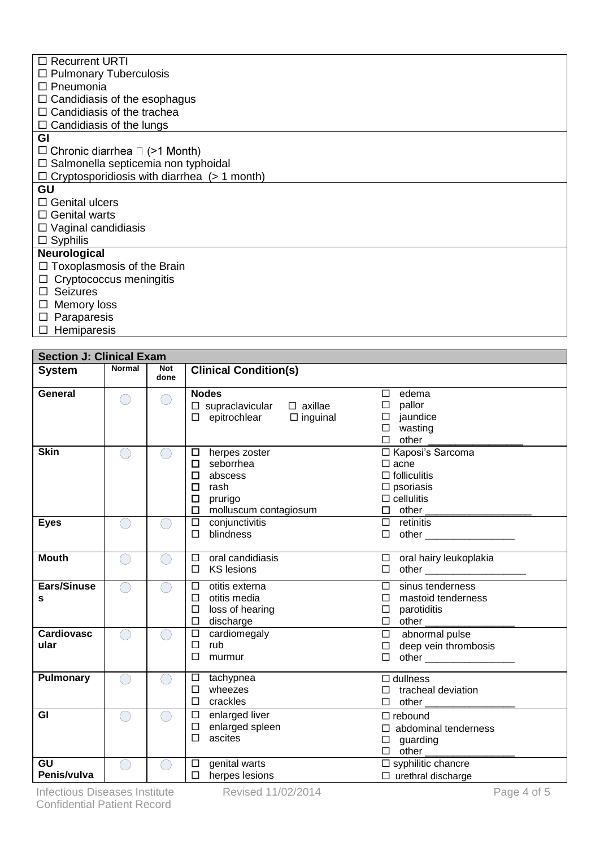| $\Box$ Recurrent URTI                              |
|----------------------------------------------------|
| $\Box$ Pulmonary Tuberculosis                      |
| $\Box$ Pneumonia                                   |
| $\Box$ Candidiasis of the esophagus                |
| $\Box$ Candidiasis of the trachea                  |
| $\Box$ Candidiasis of the lungs                    |
| GI                                                 |
| $\Box$ Chronic diarrhea $\Box$ (>1 Month)          |
| $\Box$ Salmonella septicemia non typhoidal         |
| $\Box$ Cryptosporidiosis with diarrhea (> 1 month) |
| GU                                                 |
| $\Box$ Genital ulcers                              |
| $\Box$ Genital warts                               |
| $\Box$ Vaginal candidiasis                         |
| $\Box$ Syphilis                                    |
| Neurological                                       |
| $\Box$ Toxoplasmosis of the Brain                  |
| $\Box$ Cryptococcus meningitis                     |
| $\Box$ Seizures                                    |
| $\Box$ Memory loss                                 |
| □ Doronorogio                                      |

- $\square$  Paraparesis
- $\square$  Hemiparesis

| <b>Section J: Clinical Exam</b> |               |                    |                                                                                                                                         |                                                                                                        |  |  |
|---------------------------------|---------------|--------------------|-----------------------------------------------------------------------------------------------------------------------------------------|--------------------------------------------------------------------------------------------------------|--|--|
| <b>System</b>                   | <b>Normal</b> | <b>Not</b><br>done | <b>Clinical Condition(s)</b>                                                                                                            |                                                                                                        |  |  |
| General                         | ◯             | $\bigcap$          | <b>Nodes</b><br>$\Box$ supraclavicular $\Box$ axillae<br>$\Box$ epitrochlear $\Box$ inguinal                                            | $\square$ edema<br>$\Box$ pallor<br>$\square$ jaundice<br>$\square$ wasting<br>$\Box$ other            |  |  |
| <b>Skin</b>                     |               | $\bigcap$          | $\Box$ herpes zoster<br>$\square$ seborrhea<br>$\Box$<br>abscess<br>$\Box$<br>rash<br>$\Box$<br>prurigo<br>$\Box$ molluscum contagiosum | □ Kaposi's Sarcoma<br>$\Box$ acne<br>$\Box$ folliculitis<br>$\square$ psoriasis<br>$\Box$ cellulitis   |  |  |
| <b>Eyes</b>                     |               | ⌒                  | $\Box$ conjunctivitis<br>$\Box$<br>blindness                                                                                            | $\Box$ retinitis                                                                                       |  |  |
| <b>Mouth</b>                    |               | ⌒                  | oral candidiasis<br>$\Box$<br><b>KS</b> lesions<br>$\Box$                                                                               | $\Box$ oral hairy leukoplakia<br>□ other _______________________                                       |  |  |
| Ears/Sinuse<br>s                |               | $(\ )$             | otitis externa<br>$\Box$<br>otitis media<br>$\Box$<br>loss of hearing<br>$\Box$<br>discharge<br>П                                       | $\Box$ sinus tenderness<br>$\square$ mastoid tenderness<br>$\Box$ parotiditis<br>$\Box$ other          |  |  |
| <b>Cardiovasc</b><br>ular       |               | ◯                  | cardiomegaly<br>$\Box$<br>rub<br>$\Box$<br>П<br>murmur                                                                                  | $\square$ abnormal pulse<br>$\Box$ deep vein thrombosis<br>$\Box \quad \text{other } \_\_\_\_\_\_\_ \$ |  |  |
| <b>Pulmonary</b>                |               |                    | $\Box$ tachypnea<br>wheezes<br>$\Box$<br>$\Box$<br>crackles                                                                             | $\Box$ dullness<br>$\Box$ tracheal deviation                                                           |  |  |
| GI                              | $(\ )$        | $\bigcirc$         | $\square$ enlarged liver<br>$\Box$<br>enlarged spleen<br>$\Box$<br>ascites                                                              | $\Box$ rebound<br>$\Box$ abdominal tenderness<br>$\square$ guarding                                    |  |  |
| GU<br>Penis/vulva               | $\bigcap$     | $\bigcirc$         | $\square$ genital warts<br>$\square$ herpes lesions                                                                                     | $\square$ syphilitic chancre<br>$\Box$ urethral discharge                                              |  |  |